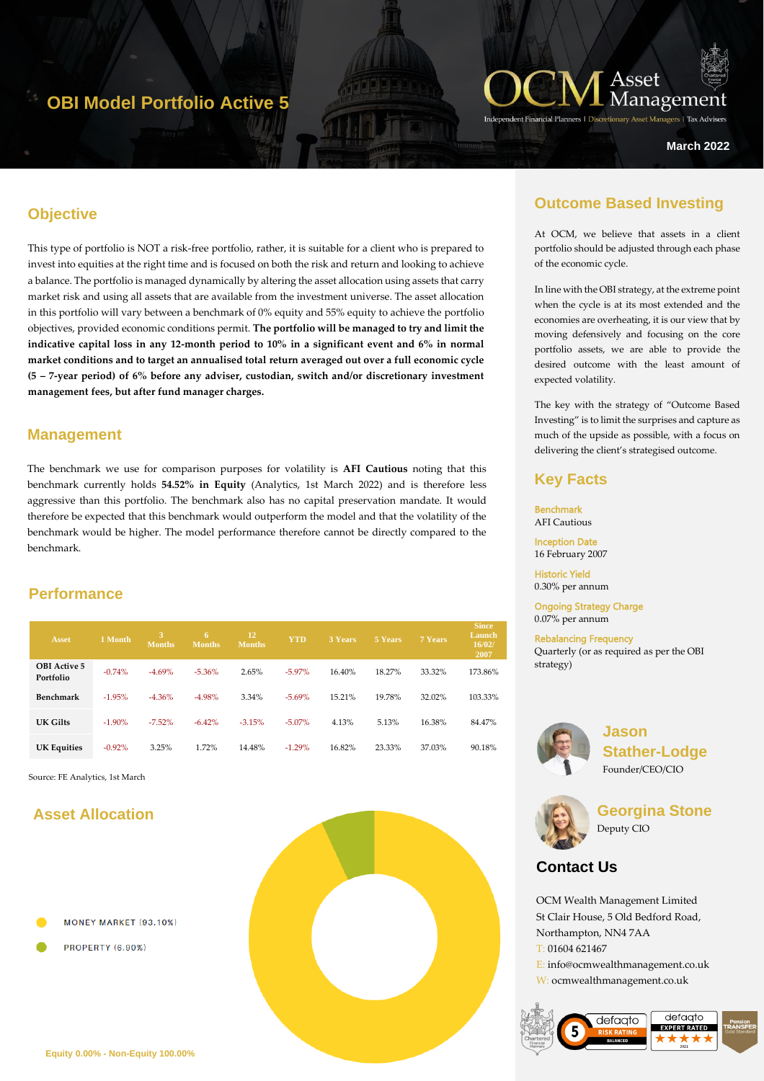# **OBI Model Portfolio Active 5**



**March 2022**

### **Objective**

This type of portfolio is NOT a risk-free portfolio, rather, it is suitable for a client who is prepared to invest into equities at the right time and is focused on both the risk and return and looking to achieve a balance. The portfolio is managed dynamically by altering the asset allocation using assets that carry market risk and using all assets that are available from the investment universe. The asset allocation in this portfolio will vary between a benchmark of 0% equity and 55% equity to achieve the portfolio objectives, provided economic conditions permit. **The portfolio will be managed to try and limit the indicative capital loss in any 12-month period to 10% in a significant event and 6% in normal market conditions and to target an annualised total return averaged out over a full economic cycle (5 – 7-year period) of 6% before any adviser, custodian, switch and/or discretionary investment management fees, but after fund manager charges.** 

#### **Management**

The benchmark we use for comparison purposes for volatility is **AFI Cautious** noting that this benchmark currently holds **54.52% in Equity** (Analytics, 1st March 2022) and is therefore less aggressive than this portfolio. The benchmark also has no capital preservation mandate. It would therefore be expected that this benchmark would outperform the model and that the volatility of the benchmark would be higher. The model performance therefore cannot be directly compared to the benchmark.

### **Performance**

| <b>Asset</b>                     | 1 Month  | 3<br><b>Months</b> | 6<br><b>Months</b> | 12<br><b>Months</b> | <b>YTD</b> | 3 Years | 5 Years | 7 Years | <b>Since</b><br>Launch<br>16/02/<br>2007 |
|----------------------------------|----------|--------------------|--------------------|---------------------|------------|---------|---------|---------|------------------------------------------|
| <b>OBI</b> Active 5<br>Portfolio | $-0.74%$ | $-4.69%$           | $-5.36\%$          | 2.65%               | $-5.97\%$  | 16.40%  | 18.27%  | 33.32%  | 173.86%                                  |
| Benchmark                        | $-1.95%$ | $-4.36%$           | $-4.98%$           | 3.34%               | $-5.69%$   | 15.21%  | 19.78%  | 32.02%  | 103.33%                                  |
| UK Gilts                         | $-1.90%$ | $-7.52\%$          | $-6.42%$           | $-3.15%$            | $-5.07\%$  | 4.13%   | 5.13%   | 16.38%  | 84.47%                                   |
| <b>UK Equities</b>               | $-0.92%$ | 3.25%              | 1.72%              | 14.48%              | $-1.29%$   | 16.82%  | 23.33%  | 37.03%  | 90.18%                                   |

Source: FE Analytics, 1st March

## **Asset Allocation**



**PROPERTY (6.90%)** 

# **Outcome Based Investing**

At OCM, we believe that assets in a client portfolio should be adjusted through each phase of the economic cycle.

In line with the OBI strategy, at the extreme point when the cycle is at its most extended and the economies are overheating, it is our view that by moving defensively and focusing on the core portfolio assets, we are able to provide the desired outcome with the least amount of expected volatility.

The key with the strategy of "Outcome Based Investing" is to limit the surprises and capture as much of the upside as possible, with a focus on delivering the client's strategised outcome.

### **Key Facts**

Benchmark AFI Cautious Inception Date

16 February 2007

Historic Yield 0.30% per annum

Ongoing Strategy Charge 0.07% per annum

Rebalancing Frequency Quarterly (or as required as per the OBI strategy)



**Jason Stather-Lodge** Founder/CEO/CIO



**Georgina Stone** Deputy CIO

# **Contact Us**

OCM Wealth Management Limited St Clair House, 5 Old Bedford Road, Northampton, NN4 7AA T: 01604 621467 E: info@ocmwealthmanagement.co.uk W: ocmwealthmanagement.co.uk